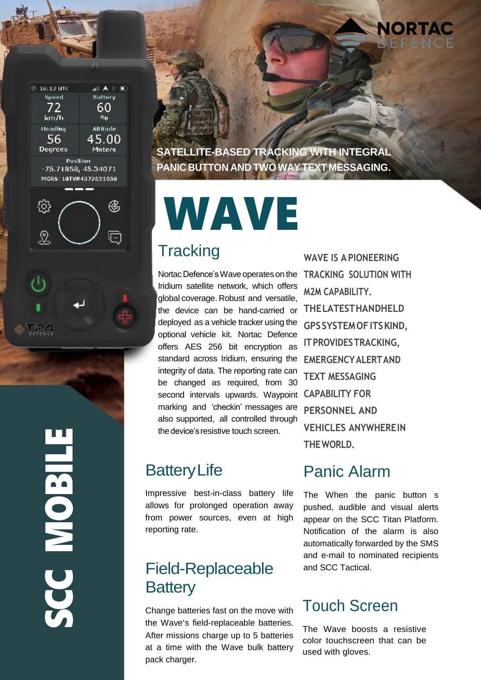

**SATELLITE-BASED TRACKING WITH INTEGRAL PANIC BUTTON AND TWO WAYTEXT MESSAGING.**

# WAVE

### **Tracking**

NortacDefence'sWave operates on the Iridium satellite network, which offers global coverage. Robust and versatile, the device can be hand-carried or deployed as a vehicle tracker using the optional vehicle kit. Nortac Defence offers AES 256 bit encryption as standard across Iridium, ensuring the integrity of data. The reporting rate can be changed as required, from 30 second intervals upwards. Waypoint **CAPABILITY FOR**  marking and 'checkin' messages are also supported, all controlled through the device's resistive touch screen.

## **Battery Life**

Impressive best-in-class battery life allows for prolonged operation away from power sources, even at high reporting rate.

# Field-Replaceable **Battery**

Change batteries fast on the move with the Wave's field-replaceable batteries. After missions charge up to 5 batteries at a time with the Wave bulk battery pack charger.

**WAVE IS A PIONEERING TRACKING SOLUTION WITH M2M CAPABILITY. THELATESTHANDHELD GPSSYSTEMOFITSKIND, ITPROVIDESTRACKING, EMERGENCYALERTAND TEXT MESSAGING PERSONNEL AND VEHICLES ANYWHEREIN THEWORLD.**

NORTAC

### Panic Alarm

The When the panic button s pushed, audible and visual alerts appear on the SCC Titan Platform. Notification of the alarm is also automatically forwarded by the SMS and e-mail to nominated recipients and SCC Tactical.

### Touch Screen

The Wave boosts a resistive color touchscreen that can be used with gloves.